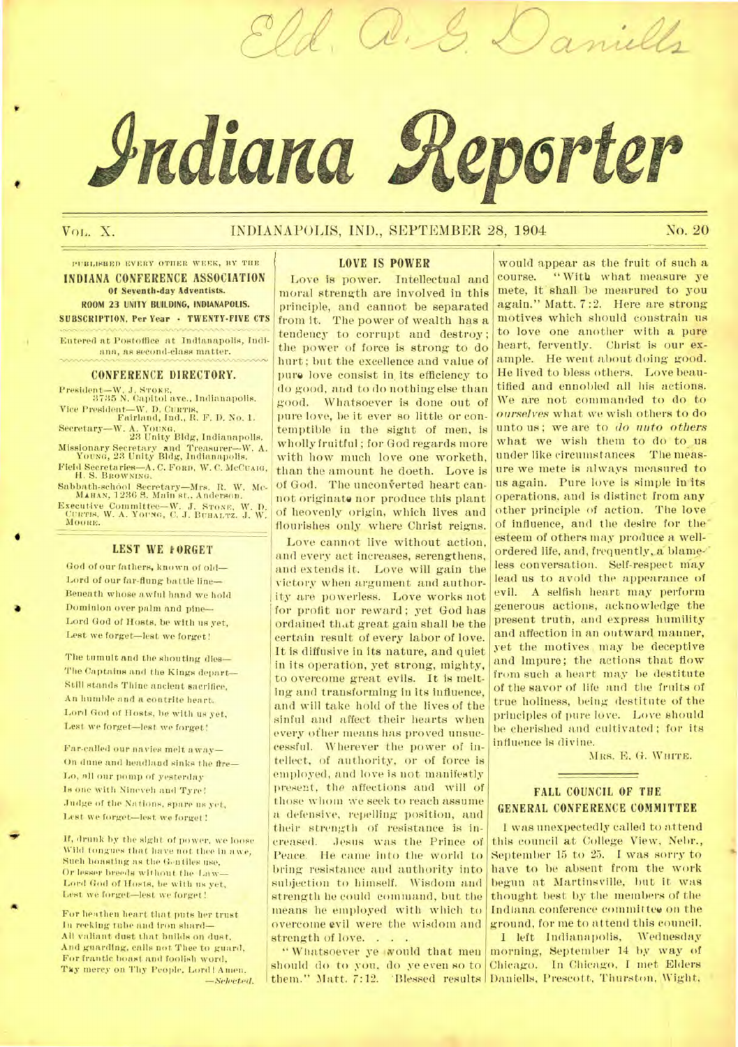# **Adiana geporter**

Md. a. S. Daniel

**0** 

# **Vol,. X.** INDIANAPOLIS, 1ND., SEPTEMBER 28, 1904 No. 20

PUBLISHED EVERY OTHER WERE, BY THE **INDIANA CONFERENCE ASSOCIATION Of Seventh-day Adventists. ROOM 23 UNITY BUILDING, INDIANAPOLIS. SUBSCRIPTION. Per Year - TWENTY-FIVE CTS** 

Entered **at** Postoffice at Indianapolis, Indiana, as second-class matter.

# **CONFERENCE DIRECTORY.**

President—W. J. STOKE,<br>3735 N. Capitol ave., Indianapolis. Vice President—W. D. CURTIS, Fairland, Ind., R. F. D. No. 1. Secretary—W. A. YOUNG, 23 Unity Bldg, Indianapolis.

Missionary Secretary and Treasurer—W. A. YOUNG, 23 Unity Bldg, Indianapolis. Field Secretaries—A. C. FORD, W. C. McCuAm, H. S. BROWNING.

Sabbath-school Secretary-Mrs. R. W. Mc-MAHAN, 1236 S. Main st., Anderson. Executive Committee—W. J. STONE, W. D. Curris, W. A. Young, C. J. BUHALTZ. J. W. MOORE.

# LEST WE FORGET

God of our fathers, known of old— Lord of our far-flung battle line— Beneath whose awful hand we hold Dominion over palm and pine— Lord God of Hosts, be with us yet, Lest we forget—lest we forget!

The tumult and the shouting dies— The Captains and the Kings depart— Still stands Thine ancient sacrifice, An humble and a contrite heart. Lord God of Hosts, be with us yet, Lest we forget—lest we forget!

Far-called our navies melt away— On dune and headland sinks the fire-Lo, all our pomp of yesterday. Is one with Nineveh and Tyre! Judge of the Nations, spare us yet, Lest we forget—lest we forget !

lf, drunk by the sight of power, we loose Wild tongues that have not thee in awe, Such boasting as the Gcn tiles *use,*  Or lesser breeds without the  $\text{Lan }w$ -Lord God of Hosts, be with us yet, Lest we forget—lest we forget!

For heathen heart that puts her trust In reeking tube and fron shard-All valiant duet that builds on dust, And guarding, calls not Thee to guard, For frantic boast and foolish word, Tay mercy on Thy People, Lord I A**men.**  *—Selected.* 

# **LOVE IS POWER**

Love is power. Intellectual and moral strength are involved in this principle, and cannot be separated from it. The power of wealth has a tendency to corrupt and destroy ; the power of force is strong to do hurt; but the excellence and value of pure love consist in. its efficiency to do good, and to do nothing else than good. Whatsoever is done out of pure love, be it ever so little or contemptible in the sight of men, is wholly fruitful ; for God regards more with how much love one worketh, than the amount he doeth. Love Is of God. The unconverted heart cannot originate nor produce this plant of heovenly origin, which lives and flourishes only where Christ reigns.

Love cannot live without action, and every act increases, serengthens, and extends it. Love will gain the victory when argument and authority are powerless. Love works not for profit nor reward; yet God has ordained that great gain shall be the certain result of every labor of love. It is diffusive in its nature, and quiet in its operation, yet strong, mighty, to overcome great evils. It is melting and transforming in its influence, and will take hold of the lives of the sinful and affect their hearts when every other means has proved unsuccessful. Wherever the power of intellect, of authority, or of force is employed, and love is not manifestly present, the affections and will of those whom we seek to reach assume a defensive, repelling position, and their strength of resistance is increased. Jesus was the Prince of Peace. He came into the world to bring resistance and authority into subjection to himself. Wisdom and strength he could command, but the means he employed with which to overcome evil were the wisdom and strength of love. . . .

"Whatsoever ye would that men should do to you, do ye even so to

would appear as the fruit of such a course. " With what measure ye mete, it shall be mearured to you again." Matt. 7:2. Here are strong motives which should constrain us to love one another with a pure heart, fervently. Christ is our example. He went about doing good. He lived to bless others. Love beautified and ennobled all his actions. We are not commanded to do to *ourselves* what we wish others to do untous; we are to *do unto others*  what we wish them to do to us under like circumstances The measure we mete is always measured to us again. Pure love is simple in its operations, and is distinct from any other principle of action. The love of influence, and the desire for the' esteem of others may produce a wellordered life, and, frequently, a blameless conversation. Self-respect may lead us to avoid the appearance of evil. A selfish heart may perform generous actions, acknowledge the present truth, and express humility and affection in an outward manner, yet the motives , may be deceptive and impure; the actions that flow from such a heart may he destitute of the savor of life and the fruits of true holiness, being destitute of the principles of pure love. Love should be cherished and cultivated ; for its influence is divine.

Mits. E. *G.* **WHITE.** 

# **FALL COUNCIL OF THE GENERAL CONFERENCE COMMITTEE**

I was unexpectedly called to attend this council at College View, Nebr., September 15 to 23. 1 was sorry to have to be absent from the work begun at Martinsville; but it was thought best by the members of the Indiana conference committee on the ground, for me to attend this council.

them." Matt. 7:12. 'Blessed results Daniells, Prescott, Thurston, Wight. 1 left Indianapolis, Wednesday morning, September 14 by way of Chicago. In Chicago, I met Elders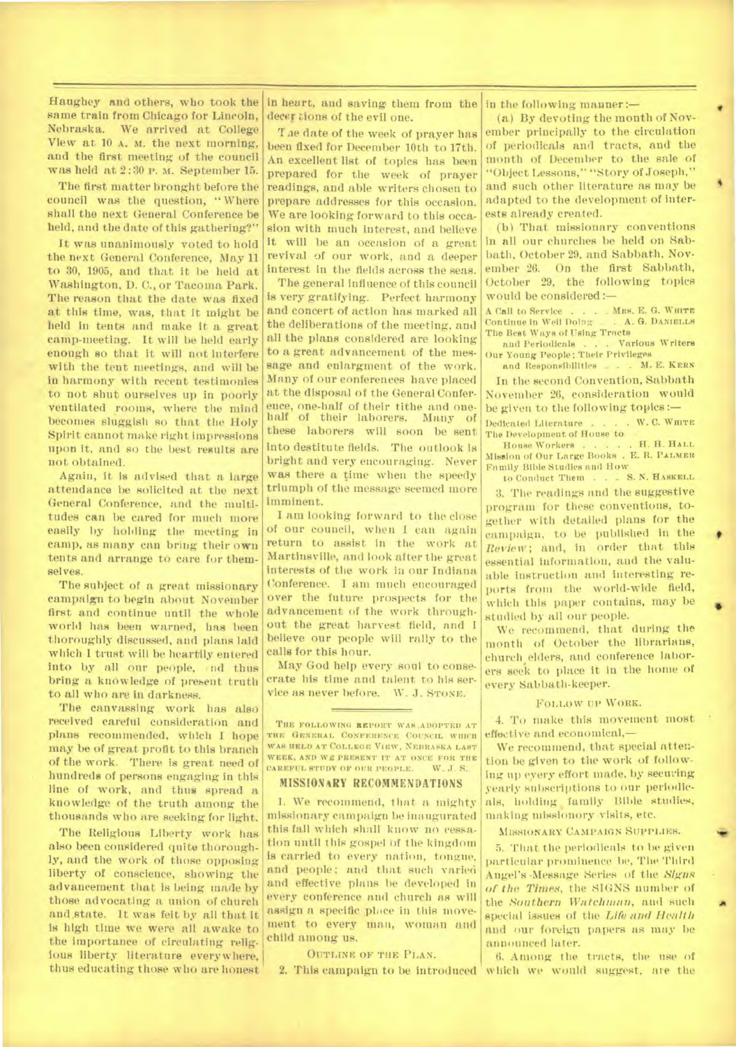Haughey and others, who took the same train from Chicago for Lincoln, Nebraska. We arrived at College View at 10 A. M. the next morning, and the first meeting of the council was held at 2 :30 P. M. September 15.

The first matter brought before the council was the question, " Where shall the next General Conference be held, and the date of this gathering?"

It was unanimously voted to hold the next General Conference, May 11 to 30, 1905, and that it be held at Washington, D. C., or Tacoma Park. The reason that the date was fixed at this time, was, that it might be held in tents and make it a great camp-meeting. It will be held early enough so that it will not interfere with the tent meetings, and will be in harmony with recent testimonies to not shut ourselves up in poorly ventilated rooms, where the mind becomes sluggish so that the Holy Spirit cannot make right impressions upon it, and so the best results are not obtained.

Again, it is advised that a large attendance be solicited at the next General Conference, and the multitudes can be cared for much more easily by holding the meeting in camp, as many can bring their own tents and arrange to care for themselves.

The subject of a great missionary campaign to begin about November first and continue until the whole world has been warned, has been thoroughly discussed, and plans laid which I trust will be heartily entered into by all our people, nd thus bring a knowledge of present truth to all who are in darkness.

The canvassing work has also received careful consideration and plans recommended, which I hope may be of great profit to this branch of the work. There is great need of hundreds of persons engaging in this line of work, and thus spread a knowledge of the truth among the thousands who are seeking for light.

The Religious Liberty work has also been considered quite thoroughly, and the work of those opposing liberty of conscience, showing the advancement that is being made by those advocating a union of church and.state. It was felt by all that it is high time we were all awake to the importance of circulating religious liberty literature everywhere, thus educating those who are honest

in heart, and saving them from the in the following manner:decer Lions of the evil one.

The date of the week of prayer has been fixed for December 10th to 17th. An excellent list of topics has been prepared for the week of prayer readings, and able writers chosen to prepare addresses for this occasion. We are looking forward to this occasion with much interest, and believe It will be an occasion of a great revival of our work, and a deeper interest in the fields across the seas.

The general influence of this council is very gratifying. Perfect harmony and concert of action has marked all the deliberations of the meeting, and all the plans considered are looking to a great advancement of the message and enlargment of the work. Many of our conferences have placed at the disposal of the General Conference, one-half of their tithe and onehalf of their laborers. Many of these laborers will soon be sent into destitute fields. The outlook is bright and very encouraging. Never was there a time when the speedy triumph of the message seemed more imminent.

I am looking forward to the close of our council, when I can again return to assist in the work at Martinsville, and look after the great interests of the work in our Indiana. Conference. I am much encouraged over the future prospects for the advancement of the work throughout the great harvest field, and I believe our people will rally to the calls for this hour.

May God help every soul to consecrate his time and talent to his service as never before. W. J. STONE.

#### **MISSIONARY RECOMMENDATIONS**

1. We recommend, that a mighty missionary campaign be inaugurated this fall which shall know no cessation until this gospel of the kingdom is carried to every nation, tongue, and people; and that such varied and effective plans be developed in every conference and church as will assign a specific place in this movement to every man, woman and child among us.

OUTLINE OF THE PLAN.

(a) By devoting the month of November principally to the circulation of periodicals and tracts, and the month of December to the sale of "Object Lessons," "Story of Joseph," and such other literature as may be adapted to the development of interests already created.

(b) That missionary conventions in all our churches be held on Sabbath, October 29, and Sabbath, November 26. On the first Sabbath, October 29, the following topics would be considered :—

A Call to Service . . . . MRs. E. G. **WHITE Continue in Well Doing** The Best Ways of Using Tracts<br>and Periodicals

Various Writers Our Young People; Their Privileges

and Responsibilities . . In the second Convention, Sabbath November 26, consideration would be given to the following topics:—

Dedicated Literature . . . . W. C. **WHITE**  The Development of House to<br>House Workers

House Workers . . . . . H. H. HALL Mission of Our Large Books . E. R. PALMER Family Bible Studies and How

to Conduct Them . . . S. N. **HASKELL**  3. The readings and the suggestive program for these conventions, together with detailed plans for the campaign, to be published in the *Review;* and, in order that this essential information, and the valuable instruction and interesting reports from the world-wide field, which this paper contains, may be studied by all our people.

•

•

We recommend, that during the month of October the librarians, church elders, and conference laborers seek to place it in the home of every Sabbath-keeper.

## FOLLOW UP WORK.

4. To make this movement most effective and economical,—

We recommend, that special attention be given to the work of following up eyery effort made, by securing yearly subscriptions to our periodicals, holding family Bible studies, making missionory visits, etc.

# MISSIONARY CAMPAIGN SUPPLIES.

5. That the periodicals to be given particular prominence be, The Third Angel's Message Series of the *Signs of the Times,* the SIGNS number of the *Southern Watchman,* and such special issues of the *Life and Health*  and our foreign papers as may be announced later.

2. This campaign to be introduced which we would suggest, are the 6. Among the tracts, the use of

**THE FOLLOWING REPORT WAS.ADOPTED AT THE GENERAL CONFERENCE COUNCIL WHICH**  WAS HELD AT COLLEGE VIEW, NEBRASKA LAST **WEEK, AND WE PRESENT IT AT ONCE FOR THE CAREFUL STUDY OF OUR PEOPLE. W.** J. S.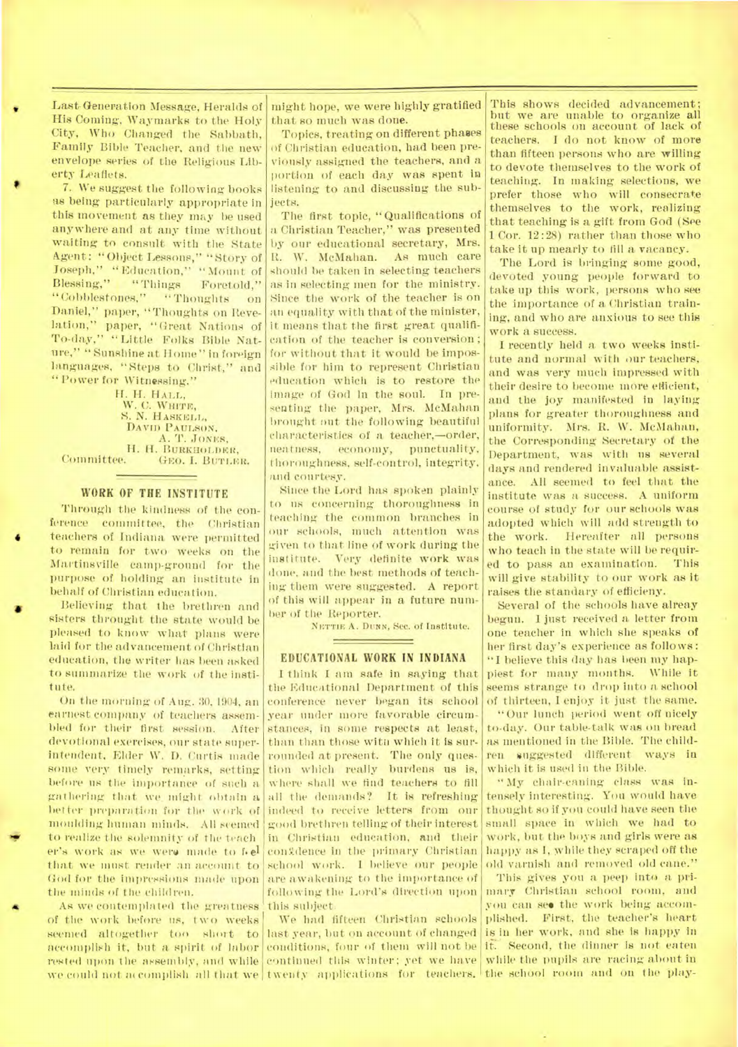Last Generation Message, Heralds of His Coming, Waymarks to the Holy City, Who Changed the Sabbath, Family Bible Teacher, and the new envelope series of the Religious Liberty Leaflets.

7. We suggest the following books as being particularly appropriate in this movement as they may be used anywhere and at any time without waiting to consult with the State Agent: "Object Lessons," "Story of Joseph," "Education," "Mount of<br>Blessing," "Things Foretold," " Things "Cobblestones," " Thoughts on Daniel," paper, "Thoughts on Revelation," paper, "Great Nations of To-day," "Little Folks Bible Nature," " Sunshine at Home" in foreign languages, "Steps to Christ," and "Power for Witnessing."

H. H. HALL, W. C. WHITE, S. N. HASKELL, DAVID PAULSON, A. T. JONES, H. H. BURKHOLDER,<br>Committee. GEO. I. BUTLE GEO. I. BUTLER.

## **WORK OF THE INSTITUTE**

Through the kindness of the conference committee, the Christian teachers of Indiana were permitted to remain for two weeks on the Martinsville camp-ground for the purpose of holding an institute in behalf of Christian education.

**4** 

Believing that the brethren and sisters throught the state would be pleased to know what plans were laid for the advancement of Christian education, the writer has been asked to summarize the work of the institute.

On the morning of Aug. 30, 1904, an earnest company of teachers assembled for their first session. After devotional exercises, our state superintendent, Elder W. D. Curtis made some very timely remarks, setting before us the importance of such a gathering that we. might obtain a better preparation for the work of moulding human minds. All seemed to realize the solemnity of the teach er's work as we were made to fel that we must render an account to God for the impressions made upon the minds of the children.

As we contemplated the greatness of the work before us, two weeks seemed altogether too short to last year, but on account of changed accomplish it, but a spirit of labor rested upon the assembly, and while continued this winter; yet we have

might hope, we were highly gratified that so much was done.

Topics, treating on different phases of Christian education, had been previously assigned the teachers, and a portion of each day was spent in listening to and discussing the subjects.

The first topic, "Qualifications of a Christian Teacher," was presented by our educational secretary, Mrs. R. W. McMahan. As much care should be taken in selecting teachers as in selecting men for the ministry. Since the work of the teacher is on an equality with that of the minister, it means that the first great qualification of the teacher is conversion ; for without that it would be impossible for him to represent Christian education which is to restore the image of God In the soul. In presenting the paper, Mrs. McMahan brought out the following beautiful characteristics of a teacher,—order, neatness, economy, punctuality, thoroughness, self-control, integrity, and courtesy.

Since the Lord has spoken plainly to us concerning thoroughness in teaching the common branches in our schools, much attention was given to that line of work during the institute. Very definite work was done, and the best methods of teaching them were suggested. A report of this will appear in a future number of the Reporter.

NETTIE A. DUNN, See. Of Institute.

## **EDUCATIONAL WORK IN INDIANA**

I think I am safe in *saying* that the Educational Department of this conference never began its school year under more favorable circumstances, in some respects at least, than than those with which it is surrounded at present. The only question which really burdens us is, where shall we find teachers to fill all the demands? It is refreshing indeed to receive letters from our good brethren telling of their interest in Christian education, and their con & dence in the primary Christian school work. I believe our people are awakening to the importance of following the Lord's direction upon this subject.

we could not accomplish all that we twenty applications for teachers. the school room and on the play-We had fifteen Christian schools conditions, four of them will not be

This shows decided advancement; but we are unable to organize all these schools on account of lack of teachers. I do not know of more than fifteen persons who are willing to devote themselves to the work of teaching. In making selections, we prefer those who will consecrate themselves to the work, realizing that teaching is a gift from God (See 1 Cor. 12:28) rather than those who take it up mearly to fill a vacancy.

The Lord is bringing some good, devoted young people forward to take up this work, persons who see the importance of a Christian training, and who are anxious to see this work a success.

I recently held a two weeks institute and normal with our teachers, and was very much impressed with their desire to become more efficient, and the joy manifested in laying plans for greater thoroughness and uniformity. Mrs. R. W. McMahan, the Corresponding Secretary of the Department, was with us several days and rendered invaluable assistance. All seemed to feel that the institute was a success. A uniform course of study for our schools was adopted which will add strength to the work. Hereafter all persons who teach in the state will be required to pass an examination. This will give stability to our work as it raises the standary of efficieny.

Several of the schools have alreay begun. I just received a letter from one teacher in which she speaks of her first day's experience as follows: "I believe this day has been my happiest for many months. While it seems strange to drop into a school of thirteen, I enjoy it just the same. "Our lunch period went off nicely to-day. Our table-talk was on bread as mentioned in the Bible. The children suggested different ways in which it is used in the Bible.

"My chair-caning class was intensely interesting. You would have thought so if you could have seen the small space in which we had to work, but the boys and girls were as happy as I, while they scraped off the old varnish and removed old cane.''

This gives you a peep into a primary Christian school room, and you can see the work being accomplished. First, the teacher's heart is in her work, and she is happy in it. Second, the dinner is not eaten while the pupils are racing about in